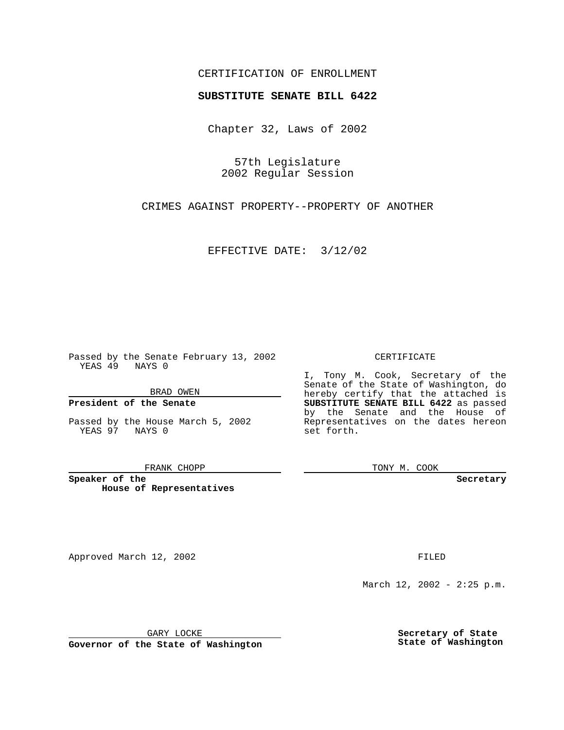## CERTIFICATION OF ENROLLMENT

# **SUBSTITUTE SENATE BILL 6422**

Chapter 32, Laws of 2002

57th Legislature 2002 Regular Session

CRIMES AGAINST PROPERTY--PROPERTY OF ANOTHER

EFFECTIVE DATE: 3/12/02

Passed by the Senate February 13, 2002 YEAS 49 NAYS 0

BRAD OWEN

## **President of the Senate**

Passed by the House March 5, 2002 YEAS 97 NAYS 0

#### FRANK CHOPP

**Speaker of the House of Representatives**

Approved March 12, 2002 **FILED** 

### CERTIFICATE

I, Tony M. Cook, Secretary of the Senate of the State of Washington, do hereby certify that the attached is **SUBSTITUTE SENATE BILL 6422** as passed by the Senate and the House of Representatives on the dates hereon set forth.

TONY M. COOK

**Secretary**

March 12, 2002 - 2:25 p.m.

GARY LOCKE

**Governor of the State of Washington**

**Secretary of State State of Washington**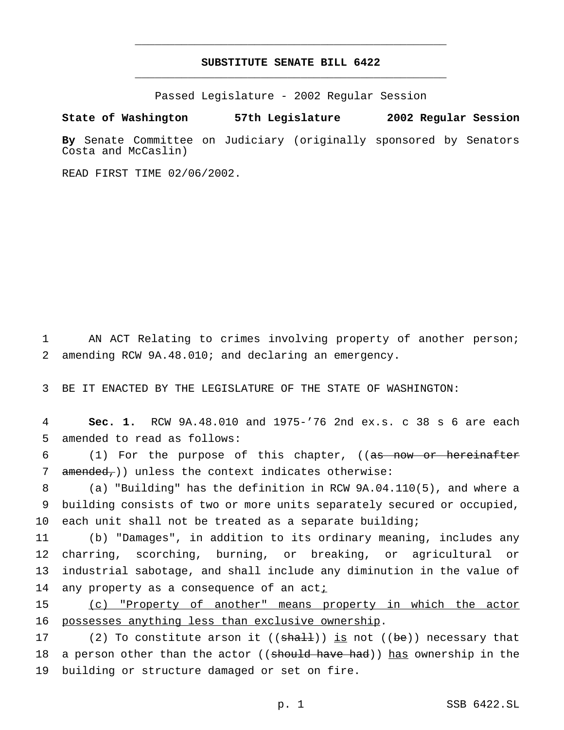# **SUBSTITUTE SENATE BILL 6422** \_\_\_\_\_\_\_\_\_\_\_\_\_\_\_\_\_\_\_\_\_\_\_\_\_\_\_\_\_\_\_\_\_\_\_\_\_\_\_\_\_\_\_\_\_\_\_

\_\_\_\_\_\_\_\_\_\_\_\_\_\_\_\_\_\_\_\_\_\_\_\_\_\_\_\_\_\_\_\_\_\_\_\_\_\_\_\_\_\_\_\_\_\_\_

Passed Legislature - 2002 Regular Session

### **State of Washington 57th Legislature 2002 Regular Session**

**By** Senate Committee on Judiciary (originally sponsored by Senators Costa and McCaslin)

READ FIRST TIME 02/06/2002.

1 AN ACT Relating to crimes involving property of another person; 2 amending RCW 9A.48.010; and declaring an emergency.

3 BE IT ENACTED BY THE LEGISLATURE OF THE STATE OF WASHINGTON:

4 **Sec. 1.** RCW 9A.48.010 and 1975-'76 2nd ex.s. c 38 s 6 are each 5 amended to read as follows:

6 (1) For the purpose of this chapter, ((as now or hereinafter 7  $amended$ ; )) unless the context indicates otherwise:

8 (a) "Building" has the definition in RCW 9A.04.110(5), and where a 9 building consists of two or more units separately secured or occupied, 10 each unit shall not be treated as a separate building;

 (b) "Damages", in addition to its ordinary meaning, includes any charring, scorching, burning, or breaking, or agricultural or industrial sabotage, and shall include any diminution in the value of 14 any property as a consequence of an acti

15 (c) "Property of another" means property in which the actor 16 possesses anything less than exclusive ownership.

17 (2) To constitute arson it  $((\text{sha1})$  is not  $((\text{be}))$  necessary that 18 a person other than the actor ((should have had)) has ownership in the 19 building or structure damaged or set on fire.